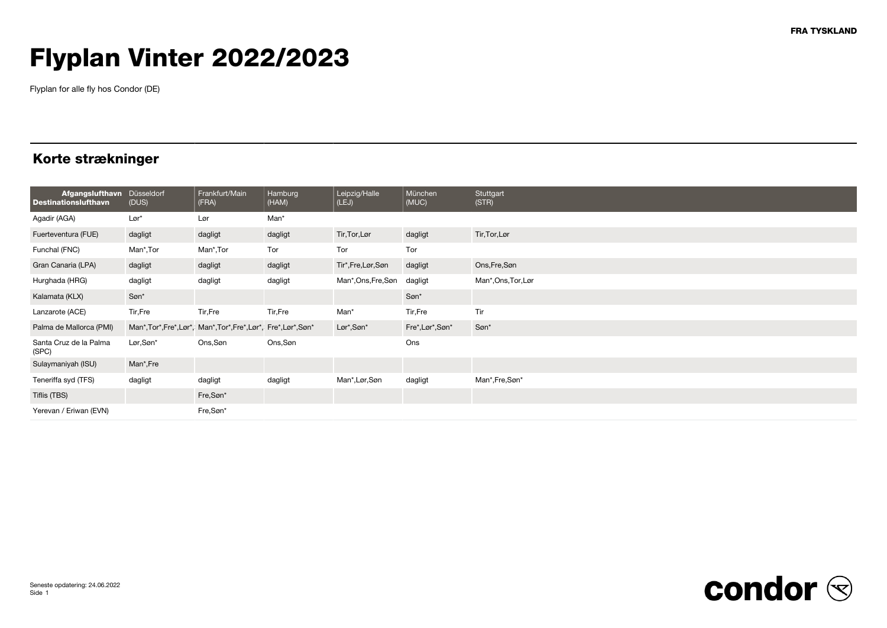# Flyplan Vinter 2022/2023

Flyplan for alle fly hos Condor (DE)

### Korte strækninger

| <b>Afgangslufthavn</b><br><b>Destinationslufthavn</b> | Düsseldorf<br>(DUS) | Frankfurt/Main<br>(FRA)                                  | Hamburg<br>(HAM) | Leipzig/Halle<br>(LEJ) | München<br>(MUC) | Stuttgart<br>(STR)  |
|-------------------------------------------------------|---------------------|----------------------------------------------------------|------------------|------------------------|------------------|---------------------|
| Agadir (AGA)                                          | $Lor*$              | Lør                                                      | Man*             |                        |                  |                     |
| Fuerteventura (FUE)                                   | dagligt             | dagligt                                                  | dagligt          | Tir, Tor, Lør          | dagligt          | Tir, Tor, Lør       |
| Funchal (FNC)                                         | Man*,Tor            | Man*,Tor                                                 | Tor              | Tor                    | Tor              |                     |
| Gran Canaria (LPA)                                    | dagligt             | dagligt                                                  | dagligt          | Tir*,Fre,Lør,Søn       | dagligt          | Ons, Fre, Søn       |
| Hurghada (HRG)                                        | dagligt             | dagligt                                                  | dagligt          | Man*, Ons, Fre, Søn    | dagligt          | Man*, Ons, Tor, Lør |
| Kalamata (KLX)                                        | Søn*                |                                                          |                  |                        | Søn*             |                     |
| Lanzarote (ACE)                                       | Tir, Fre            | Tir,Fre                                                  | Tir, Fre         | Man*                   | Tir, Fre         | Tir                 |
| Palma de Mallorca (PMI)                               |                     | Man*,Tor*,Fre*,Lør*, Man*,Tor*,Fre*,Lør*, Fre*,Lør*,Søn* |                  | Lør*,Søn*              | Fre*, Lør*, Søn* | Søn*                |
| Santa Cruz de la Palma<br>(SPC)                       | Lør,Søn*            | Ons, Søn                                                 | Ons,Søn          |                        | Ons              |                     |
| Sulaymaniyah (ISU)                                    | Man*,Fre            |                                                          |                  |                        |                  |                     |
| Teneriffa syd (TFS)                                   | dagligt             | dagligt                                                  | dagligt          | Man*, Lør, Søn         | dagligt          | Man*,Fre,Søn*       |
| Tiflis (TBS)                                          |                     | Fre,Søn*                                                 |                  |                        |                  |                     |
| Yerevan / Eriwan (EVN)                                |                     | Fre,Søn*                                                 |                  |                        |                  |                     |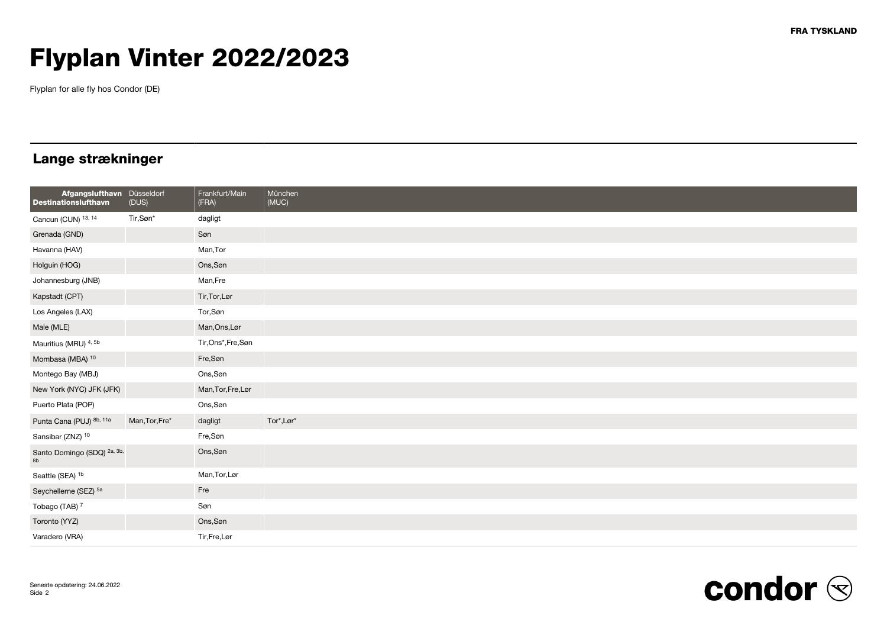# Flyplan Vinter 2022/2023

Flyplan for alle fly hos Condor (DE)

### Lange strækninger

| Afgangslufthavn Düsseldorf<br><b>Destinationslufthavn</b> | (DUS)          | Frankfurt/Main<br>(FRA) | München<br>(MUC) |
|-----------------------------------------------------------|----------------|-------------------------|------------------|
| Cancun (CUN) 13, 14                                       | Tir,Søn*       | dagligt                 |                  |
| Grenada (GND)                                             |                | Søn                     |                  |
| Havanna (HAV)                                             |                | Man, Tor                |                  |
| Holguin (HOG)                                             |                | Ons, Søn                |                  |
| Johannesburg (JNB)                                        |                | Man, Fre                |                  |
| Kapstadt (CPT)                                            |                | Tir, Tor, Lør           |                  |
| Los Angeles (LAX)                                         |                | Tor, Søn                |                  |
| Male (MLE)                                                |                | Man, Ons, Lør           |                  |
| Mauritius (MRU) <sup>4,5b</sup>                           |                | Tir,Ons*,Fre,Søn        |                  |
| Mombasa (MBA) 10                                          |                | Fre,Søn                 |                  |
| Montego Bay (MBJ)                                         |                | Ons, Søn                |                  |
| New York (NYC) JFK (JFK)                                  |                | Man, Tor, Fre, Lør      |                  |
| Puerto Plata (POP)                                        |                | Ons, Søn                |                  |
| Punta Cana (PUJ) 8b, 11a                                  | Man, Tor, Fre* | dagligt                 | Tor*, Lør*       |
| Sansibar (ZNZ) 10                                         |                | Fre,Søn                 |                  |
| Santo Domingo (SDQ) <sup>2a, 3b,</sup>                    |                | Ons, Søn                |                  |
| Seattle (SEA) <sup>1b</sup>                               |                | Man, Tor, Lør           |                  |
| Seychellerne (SEZ) 5a                                     |                | Fre                     |                  |
| Tobago (TAB) <sup>7</sup>                                 |                | Søn                     |                  |
| Toronto (YYZ)                                             |                | Ons, Søn                |                  |
| Varadero (VRA)                                            |                | Tir, Fre, Lør           |                  |